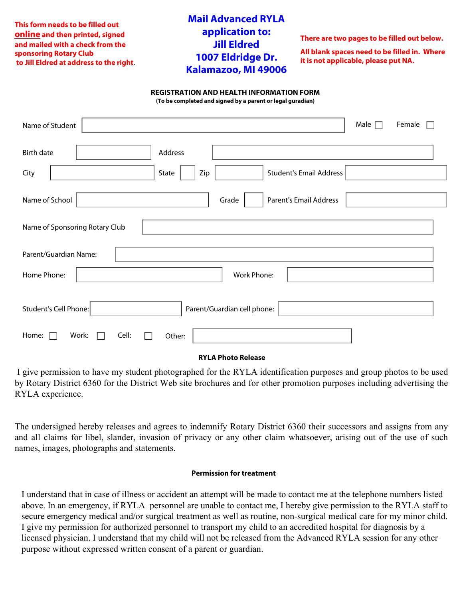**This form needs to be filled out online and then printed, signed and mailed with a check from the sponsoring Rotary Club to Jill Eldred at address to the right**.

## **Mail Advanced RYLA application to: Jill Eldred 1007 Eldridge Dr. Kalamazoo, MI 49006**

**There are two pages to be filled out below.**

**All blank spaces need to be filled in. Where it is not applicable, please put NA.**

#### **REGISTRATION AND HEALTH INFORMATION FORM**

**(To be completed and signed by a parent or legal guradian)**

| Name of Student                                          | Male $\Box$ | Female |
|----------------------------------------------------------|-------------|--------|
| Address<br><b>Birth date</b>                             |             |        |
| <b>Student's Email Address</b><br>State<br>Zip<br>City   |             |        |
| Name of School<br><b>Parent's Email Address</b><br>Grade |             |        |
| Name of Sponsoring Rotary Club                           |             |        |
| Parent/Guardian Name:                                    |             |        |
| Home Phone:<br>Work Phone:                               |             |        |
| Student's Cell Phone:<br>Parent/Guardian cell phone:     |             |        |
| Home:<br>Cell:<br>Work:<br>Other:                        |             |        |

### **RYLA Photo Release**

I give permission to have my student photographed for the RYLA identification purposes and group photos to be used by Rotary District 6360 for the District Web site brochures and for other promotion purposes including advertising the RYLA experience.

The undersigned hereby releases and agrees to indemnify Rotary District 6360 their successors and assigns from any and all claims for libel, slander, invasion of privacy or any other claim whatsoever, arising out of the use of such names, images, photographs and statements.

### **Permission for treatment**

I understand that in case of illness or accident an attempt will be made to contact me at the telephone numbers listed above. In an emergency, if RYLA personnel are unable to contact me, I hereby give permission to the RYLA staff to secure emergency medical and/or surgical treatment as well as routine, non-surgical medical care for my minor child. I give my permission for authorized personnel to transport my child to an accredited hospital for diagnosis by a licensed physician. I understand that my child will not be released from the Advanced RYLA session for any other purpose without expressed written consent of a parent or guardian.